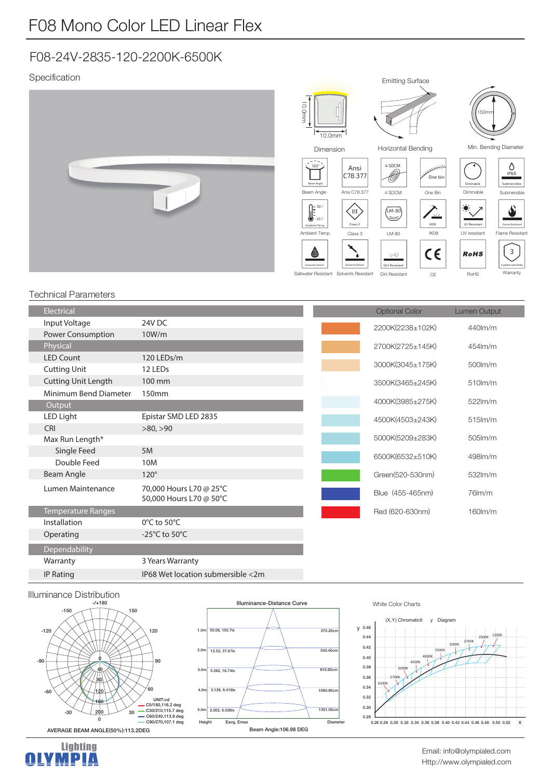## F08-24V-2835-120-2200K-6500K

## Specification



## Technical Parameters

| <b>Electrical</b>          |                                                    | <b>Optional Color</b> | <b>Lumen Output</b> |
|----------------------------|----------------------------------------------------|-----------------------|---------------------|
| Input Voltage              | 24V DC                                             | 2200K(2238±102K)      | 440lm/m             |
| Power Consumption          | 10W/m                                              |                       |                     |
| Physical                   |                                                    | 2700K(2725±145K)      | 454m/m              |
| <b>LED Count</b>           | 120 LEDs/m                                         | 3000K(3045±175K)      |                     |
| <b>Cutting Unit</b>        | 12 LEDs                                            |                       | 500lm/m             |
| <b>Cutting Unit Length</b> | 100 mm                                             | 3500K(3465±245K)      | $510$ m/m           |
| Minimum Bend Diameter      | 150 <sub>mm</sub>                                  |                       |                     |
| Output                     |                                                    | 4000K(3985±275K)      | $522$ lm/m          |
| LED Light                  | Epistar SMD LED 2835                               | 4500K(4503±243K)      | $515$ m/m           |
| CRI                        | >80, >90                                           |                       |                     |
| Max Run Length*            |                                                    | 5000K(5209±283K)      | $505$ $\text{Im/m}$ |
| Single Feed                | 5M                                                 | 6500K(6532±510K)      | 498lm/m             |
| Double Feed                | 10M                                                |                       |                     |
| Beam Angle                 | $120^\circ$                                        | Green(520-530nm)      | 532lm/m             |
| Lumen Maintenance          | 70,000 Hours L70 @ 25°C<br>50,000 Hours L70 @ 50°C | Blue (455-465nm)      | $76$ m/m            |
| Temperature Ranges         |                                                    | Red (620-630nm)       | 160lm/m             |
| Installation               | $0^{\circ}$ C to 50 $^{\circ}$ C                   |                       |                     |
| Operating                  | -25 $\degree$ C to 50 $\degree$ C                  |                       |                     |
| Dependability              |                                                    |                       |                     |
| Warranty                   | 3 Years Warranty                                   |                       |                     |





IP Rating IP68 Wet location submersible <2m